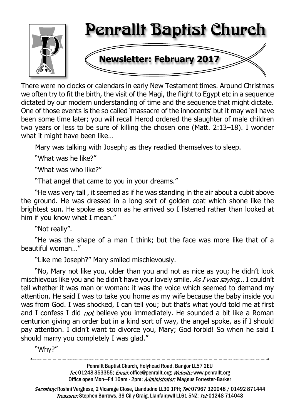

There were no clocks or calendars in early New Testament times. Around Christmas we often try to fit the birth, the visit of the Magi, the flight to Egypt etc in a sequence dictated by our modern understanding of time and the sequence that might dictate. One of those events is the so called 'massacre of the innocents' but it may well have been some time later; you will recall Herod ordered the slaughter of male children two years or less to be sure of killing the chosen one (Matt. 2:13–18). I wonder what it might have been like...

Mary was talking with Joseph; as they readied themselves to sleep.

"What was he like?"

"What was who like?"

"That angel that came to you in your dreams."

"He was very tall , it seemed as if he was standing in the air about a cubit above the ground. He was dressed in a long sort of golden coat which shone like the brightest sun. He spoke as soon as he arrived so I listened rather than looked at him if you know what I mean."

"Not really".

"He was the shape of a man I think; but the face was more like that of a beautiful woman…"

"Like me Joseph?" Mary smiled mischievously.

"No, Mary not like you, older than you and not as nice as you; he didn't look mischievous like you and he didn't have your lovely smile. As I was saying... I couldn't tell whether it was man or woman: it was the voice which seemed to demand my attention. He said I was to take you home as my wife because the baby inside you was from God. I was shocked, I can tell you; but that's what you'd told me at first and I confess I did *not* believe you immediately. He sounded a bit like a Roman centurion giving an order but in a kind sort of way, the angel spoke, as if I should pay attention. I didn't want to divorce you, Mary; God forbid! So when he said I should marry you completely I was glad."

"Why?"

Penrallt Baptist Church, Holyhead Road, Bangor LL57 2EU Tel:01248 353355; Email: office@penrallt.org; Website: www.penrallt.org Office open Mon-Fri 10am - 2pm; Administrator: Magnus Forrester-Barker

Secretary: Roshni Verghese, 2 Vicarage Close, Llandudno LL30 1PH; Tel: 07967 320048 / 01492 871444 Treasurer: Stephen Burrows, 39 Cil y Graig, Llanfairpwll LL61 5NZ; Tel: 01248 714048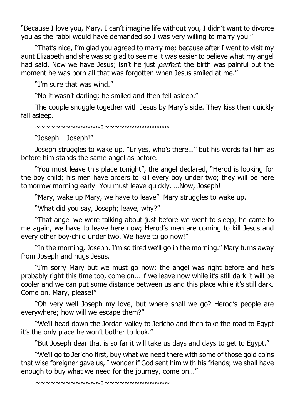"Because I love you, Mary. I can't imagine life without you, I didn't want to divorce you as the rabbi would have demanded so I was very willing to marry you."

"That's nice, I'm glad you agreed to marry me; because after I went to visit my aunt Elizabeth and she was so glad to see me it was easier to believe what my angel had said. Now we have Jesus; isn't he just *perfect*, the birth was painful but the moment he was born all that was forgotten when Jesus smiled at me."

"I'm sure that was wind."

"No it wasn't darling; he smiled and then fell asleep."

The couple snuggle together with Jesus by Mary's side. They kiss then quickly fall asleep.

~~~~~~~~~~~~~~~~~~~~~~~~~~~~

"Joseph… Joseph!"

Joseph struggles to wake up, "Er yes, who's there…" but his words fail him as before him stands the same angel as before.

"You must leave this place tonight", the angel declared, "Herod is looking for the boy child; his men have orders to kill every boy under two; they will be here tomorrow morning early. You must leave quickly. …Now, Joseph!

"Mary, wake up Mary, we have to leave". Mary struggles to wake up.

"What did you say, Joseph; leave, why?"

"That angel we were talking about just before we went to sleep; he came to me again, we have to leave here now; Herod's men are coming to kill Jesus and every other boy-child under two. We have to go now!"

"In the morning, Joseph. I'm so tired we'll go in the morning." Mary turns away from Joseph and hugs Jesus.

"I'm sorry Mary but we must go now; the angel was right before and he's probably right this time too, come on… if we leave now while it's still dark it will be cooler and we can put some distance between us and this place while it's still dark. Come on, Mary, please!"

"Oh very well Joseph my love, but where shall we go? Herod's people are everywhere; how will we escape them?"

"We'll head down the Jordan valley to Jericho and then take the road to Egypt it's the only place he won't bother to look."

"But Joseph dear that is so far it will take us days and days to get to Egypt."

"We'll go to Jericho first, buy what we need there with some of those gold coins that wise foreigner gave us, I wonder if God sent him with his friends; we shall have enough to buy what we need for the journey, come on…"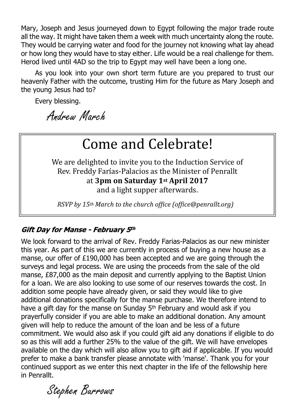Mary, Joseph and Jesus journeyed down to Egypt following the major trade route all the way. It might have taken them a week with much uncertainty along the route. They would be carrying water and food for the journey not knowing what lay ahead or how long they would have to stay either. Life would be a real challenge for them. Herod lived until 4AD so the trip to Egypt may well have been a long one.

As you look into your own short term future are you prepared to trust our heavenly Father with the outcome, trusting Him for the future as Mary Joseph and the young Jesus had to?

Every blessing.

Andrew March

# Come and Celebrate!

We are delighted to invite you to the Induction Service of Rev. Freddy Farías-Palacios as the Minister of Penrallt at **3pm on Saturday 1st April 2017** and a light supper afterwards.

*RSVP by 15th March to the church office (office@penrallt.org)*

#### Gift Day for Manse - February 5th

We look forward to the arrival of Rev. Freddy Farias-Palacios as our new minister this year. As part of this we are currently in process of buying a new house as a manse, our offer of £190,000 has been accepted and we are going through the surveys and legal process. We are using the proceeds from the sale of the old manse, £87,000 as the main deposit and currently applying to the Baptist Union for a loan. We are also looking to use some of our reserves towards the cost. In addition some people have already given, or said they would like to give additional donations specifically for the manse purchase. We therefore intend to have a gift day for the manse on Sunday 5<sup>th</sup> February and would ask if you prayerfully consider if you are able to make an additional donation. Any amount given will help to reduce the amount of the loan and be less of a future commitment. We would also ask if you could gift aid any donations if eligible to do so as this will add a further 25% to the value of the gift. We will have envelopes available on the day which will also allow you to gift aid if applicable. If you would prefer to make a bank transfer please annotate with 'manse'. Thank you for your continued support as we enter this next chapter in the life of the fellowship here in Penrallt.

Stephen Burrows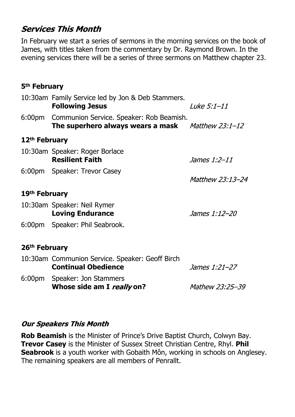### **Services This Month**

In February we start a series of sermons in the morning services on the book of James, with titles taken from the commentary by Dr. Raymond Brown. In the evening services there will be a series of three sermons on Matthew chapter 23.

#### **5th February**

|                           | 10:30am Family Service led by Jon & Deb Stammers.<br><b>Following Jesus</b>                             | Luke 5:1-11          |  |  |  |
|---------------------------|---------------------------------------------------------------------------------------------------------|----------------------|--|--|--|
|                           | 6:00pm Communion Service. Speaker: Rob Beamish.<br>The superhero always wears a mask $M$ atthew 23:1-12 |                      |  |  |  |
| 12 <sup>th</sup> February |                                                                                                         |                      |  |  |  |
|                           | 10:30am Speaker: Roger Borlace<br><b>Resilient Faith</b>                                                | <i>James 1:2-11</i>  |  |  |  |
|                           | 6:00pm Speaker: Trevor Casey                                                                            | Matthew 23:13-24     |  |  |  |
| 19 <sup>th</sup> February |                                                                                                         |                      |  |  |  |
|                           | 10:30am Speaker: Neil Rymer<br><b>Loving Endurance</b>                                                  | <i>James 1:12-20</i> |  |  |  |
|                           | 6:00pm Speaker: Phil Seabrook.                                                                          |                      |  |  |  |
| 26 <sup>th</sup> February |                                                                                                         |                      |  |  |  |
|                           | 10:30am Communion Service. Speaker: Geoff Birch<br><b>Continual Obedience</b>                           | <i>James 1:21-27</i> |  |  |  |
|                           | 6:00pm Speaker: Jon Stammers<br>Whose side am I <i>really</i> on?                                       | Mathew 23:25-39      |  |  |  |

#### **Our Speakers This Month**

**Rob Beamish** is the Minister of Prince's Drive Baptist Church, Colwyn Bay. **Trevor Casey** is the Minister of Sussex Street Christian Centre, Rhyl. **Phil Seabrook** is a youth worker with Gobaith Môn, working in schools on Anglesey. The remaining speakers are all members of Penrallt.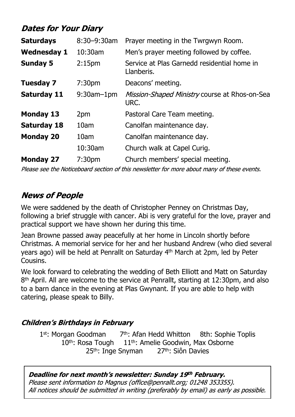# **Dates for Your Diary**

| <b>Saturdays</b>   | 8:30-9:30am        | Prayer meeting in the Twrgwyn Room.                       |
|--------------------|--------------------|-----------------------------------------------------------|
| <b>Wednesday 1</b> | 10:30am            | Men's prayer meeting followed by coffee.                  |
| <b>Sunday 5</b>    | 2:15 <sub>pm</sub> | Service at Plas Garnedd residential home in<br>Llanberis. |
| <b>Tuesday 7</b>   | 7:30 <sub>pm</sub> | Deacons' meeting.                                         |
| <b>Saturday 11</b> | $9:30$ am $-1$ pm  | Mission-Shaped Ministry course at Rhos-on-Sea<br>URC.     |
| <b>Monday 13</b>   | 2pm                | Pastoral Care Team meeting.                               |
| <b>Saturday 18</b> | 10am               | Canolfan maintenance day.                                 |
| <b>Monday 20</b>   | 10am               | Canolfan maintenance day.                                 |
|                    | 10:30am            | Church walk at Capel Curig.                               |
| <b>Monday 27</b>   | 7:30 <sub>pm</sub> | Church members' special meeting.                          |

Please see the Noticeboard section of this newsletter for more about many of these events.

# **News of People**

We were saddened by the death of Christopher Penney on Christmas Day, following a brief struggle with cancer. Abi is very grateful for the love, prayer and practical support we have shown her during this time.

Jean Browne passed away peacefully at her home in Lincoln shortly before Christmas. A memorial service for her and her husband Andrew (who died several years ago) will be held at Penrallt on Saturday 4th March at 2pm, led by Peter Cousins.

We look forward to celebrating the wedding of Beth Elliott and Matt on Saturday 8<sup>th</sup> April. All are welcome to the service at Penrallt, starting at 12:30pm, and also to a barn dance in the evening at Plas Gwynant. If you are able to help with catering, please speak to Billy.

#### **Children's Birthdays in February**

1<sup>st</sup>: Morgan Goodman 7<sup>th</sup>: Afan Hedd Whitton 8th: Sophie Toplis  $10<sup>th</sup>$ : Rosa Tough  $11<sup>th</sup>$ : Amelie Goodwin, Max Osborne 25<sup>th</sup>: Inge Snyman 27<sup>th</sup>: Siôn Davies

Deadline for next month's newsletter: Sunday 19th February. Please sent information to Magnus (office@penrallt.org; 01248 353355). All notices should be submitted in writing (preferably by email) as early as possible.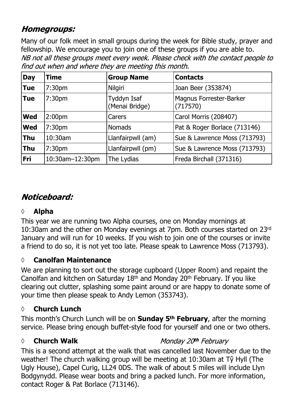# **Homegroups:**

Many of our folk meet in small groups during the week for Bible study, prayer and fellowship. We encourage you to join one of these groups if you are able to.<br>NB not all these groups meet every week. Please check with the contact people to find out when and where they are meeting this month.

| <b>Day</b> | Time               | <b>Group Name</b>             | <b>Contacts</b>                     |
|------------|--------------------|-------------------------------|-------------------------------------|
| <b>Tue</b> | 7:30 <sub>pm</sub> | Nilgiri                       | Joan Beer (353874)                  |
| <b>Tue</b> | 7:30pm             | Tyddyn Isaf<br>(Menai Bridge) | Magnus Forrester-Barker<br>(717570) |
| <b>Wed</b> | 2:00pm             | Carers                        | Carol Morris (208407)               |
| <b>Wed</b> | 7:30pm             | <b>Nomads</b>                 | Pat & Roger Borlace (713146)        |
| <b>Thu</b> | 10:30am            | Llanfairpwll (am)             | Sue & Lawrence Moss (713793)        |
| <b>Thu</b> | 7:30pm             | Llanfairpwll (pm)             | Sue & Lawrence Moss (713793)        |
| Fri        | 10:30am-12:30pm    | The Lydias                    | Freda Birchall (371316)             |

# Noticeboard:

#### **◊ Alpha**

This year we are running two Alpha courses, one on Monday mornings at 10:30am and the other on Monday evenings at 7pm. Both courses started on 23rd January and will run for 10 weeks. If you wish to join one of the courses or invite a friend to do so, it is not yet too late. Please speak to Lawrence Moss (713793).

#### **◊ Canolfan Maintenance**

We are planning to sort out the storage cupboard (Upper Room) and repaint the Canolfan and kitchen on Saturday 18th and Monday 20th February. If you like clearing out clutter, splashing some paint around or are happy to donate some of your time then please speak to Andy Lemon (353743).

#### **◊ Church Lunch**

This month's Church Lunch will be on **Sunday 5th February**, after the morning service. Please bring enough buffet-style food for yourself and one or two others.

#### *◊* **Church Walk**

#### Monday 20th February

This is a second attempt at the walk that was cancelled last November due to the weather! The church walking group will be meeting at 10:30am at Tŷ Hyll (The Ugly House), Capel Curig, LL24 0DS. The walk of about 5 miles will include Llyn Bodgynydd. Please wear boots and bring a packed lunch. For more information, contact Roger & Pat Borlace (713146).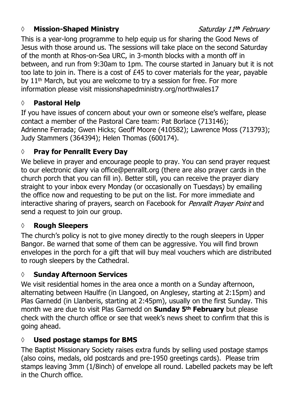#### *◊* **Mission-Shaped Ministry**

#### Saturday 11th February

This is a year-long programme to help equip us for sharing the Good News of Jesus with those around us. The sessions will take place on the second Saturday of the month at Rhos-on-Sea URC, in 3-month blocks with a month off in between, and run from 9:30am to 1pm. The course started in January but it is not too late to join in. There is a cost of £45 to cover materials for the year, payable by 11<sup>th</sup> March, but you are welcome to try a session for free. For more information please visit missionshapedministry.org/northwales17

#### **◊ Pastoral Help**

If you have issues of concern about your own or someone else's welfare, please contact a member of the Pastoral Care team: Pat Borlace (713146); Adrienne Ferrada; Gwen Hicks; Geoff Moore (410582); Lawrence Moss (713793); Judy Stammers (364394); Helen Thomas (600174).

#### **◊ Pray for Penrallt Every Day**

We believe in prayer and encourage people to pray. You can send prayer request to our electronic diary via office@penrallt.org (there are also prayer cards in the church porch that you can fill in). Better still, you can receive the prayer diary straight to your inbox every Monday (or occasionally on Tuesdays) by emailing the office now and requesting to be put on the list. For more immediate and interactive sharing of prayers, search on Facebook for *Penrallt Prayer Point* and send a request to join our group.

#### **◊ Rough Sleepers**

The church's policy is not to give money directly to the rough sleepers in Upper Bangor. Be warned that some of them can be aggressive. You will find brown envelopes in the porch for a gift that will buy meal vouchers which are distributed to rough sleepers by the Cathedral.

#### **◊ Sunday Afternoon Services**

We visit residential homes in the area once a month on a Sunday afternoon, alternating between Haulfre (in Llangoed, on Anglesey, starting at 2:15pm) and Plas Garnedd (in Llanberis, starting at 2:45pm), usually on the first Sunday. This month we are due to visit Plas Garnedd on **Sunday 5th February** but please check with the church office or see that week's news sheet to confirm that this is going ahead.

#### **◊ Used postage stamps for BMS**

The Baptist Missionary Society raises extra funds by selling used postage stamps (also coins, medals, old postcards and pre-1950 greetings cards). Please trim stamps leaving 3mm (1/8inch) of envelope all round. Labelled packets may be left in the Church office.